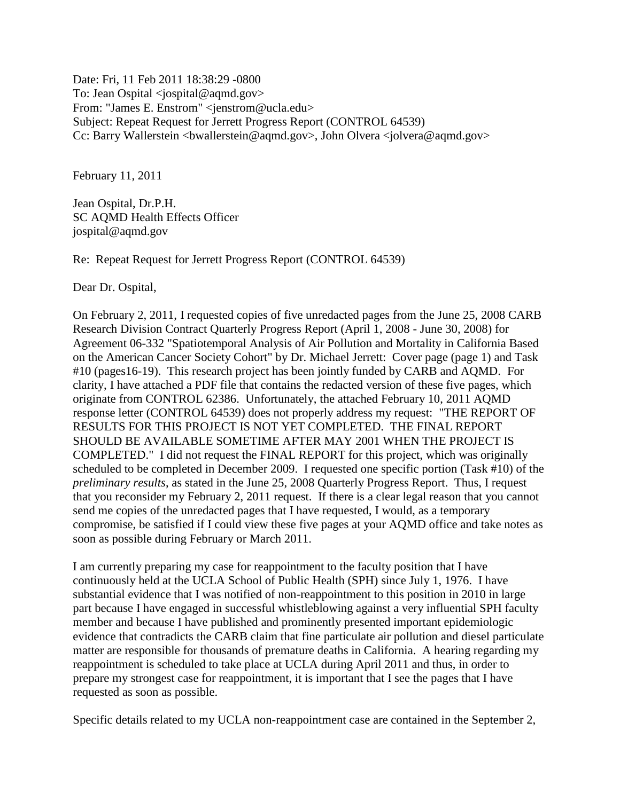Date: Fri, 11 Feb 2011 18:38:29 -0800 To: Jean Ospital <jospital@aqmd.gov> From: "James E. Enstrom" <jenstrom@ucla.edu> Subject: Repeat Request for Jerrett Progress Report (CONTROL 64539) Cc: Barry Wallerstein < bwallerstein@aqmd.gov>, John Olvera < jolvera@aqmd.gov>

February 11, 2011

Jean Ospital, Dr.P.H. SC AQMD Health Effects Officer jospital@aqmd.gov

Re: Repeat Request for Jerrett Progress Report (CONTROL 64539)

Dear Dr. Ospital,

On February 2, 2011, I requested copies of five unredacted pages from the June 25, 2008 CARB Research Division Contract Quarterly Progress Report (April 1, 2008 - June 30, 2008) for Agreement 06-332 "Spatiotemporal Analysis of Air Pollution and Mortality in California Based on the American Cancer Society Cohort" by Dr. Michael Jerrett: Cover page (page 1) and Task #10 (pages16-19). This research project has been jointly funded by CARB and AQMD. For clarity, I have attached a PDF file that contains the redacted version of these five pages, which originate from CONTROL 62386. Unfortunately, the attached February 10, 2011 AQMD response letter (CONTROL 64539) does not properly address my request: "THE REPORT OF RESULTS FOR THIS PROJECT IS NOT YET COMPLETED. THE FINAL REPORT SHOULD BE AVAILABLE SOMETIME AFTER MAY 2001 WHEN THE PROJECT IS COMPLETED." I did not request the FINAL REPORT for this project, which was originally scheduled to be completed in December 2009. I requested one specific portion (Task #10) of the *preliminary results*, as stated in the June 25, 2008 Quarterly Progress Report. Thus, I request that you reconsider my February 2, 2011 request. If there is a clear legal reason that you cannot send me copies of the unredacted pages that I have requested, I would, as a temporary compromise, be satisfied if I could view these five pages at your AQMD office and take notes as soon as possible during February or March 2011.

I am currently preparing my case for reappointment to the faculty position that I have continuously held at the UCLA School of Public Health (SPH) since July 1, 1976. I have substantial evidence that I was notified of non-reappointment to this position in 2010 in large part because I have engaged in successful whistleblowing against a very influential SPH faculty member and because I have published and prominently presented important epidemiologic evidence that contradicts the CARB claim that fine particulate air pollution and diesel particulate matter are responsible for thousands of premature deaths in California. A hearing regarding my reappointment is scheduled to take place at UCLA during April 2011 and thus, in order to prepare my strongest case for reappointment, it is important that I see the pages that I have requested as soon as possible.

Specific details related to my UCLA non-reappointment case are contained in the September 2,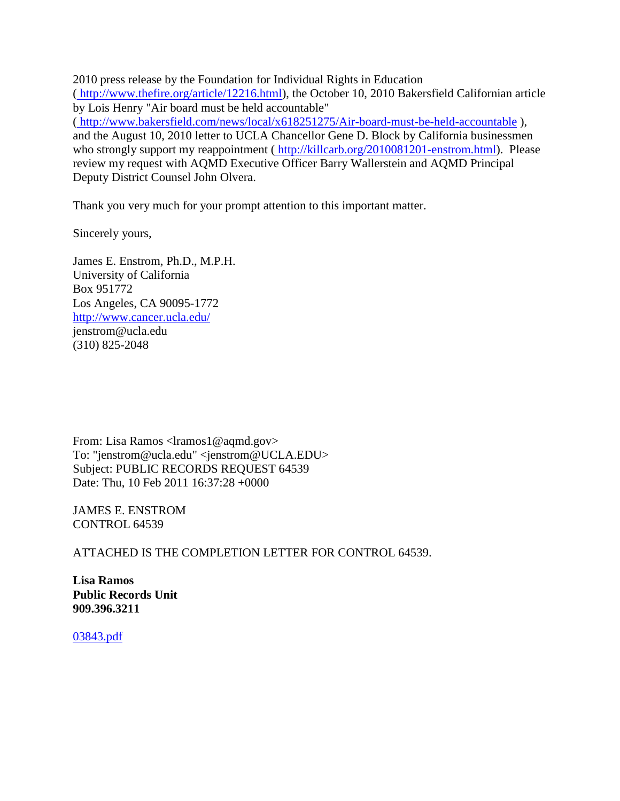2010 press release by the Foundation for Individual Rights in Education ( [http://www.thefire.org/article/12216.html\)](http://www.thefire.org/article/12216.html), the October 10, 2010 Bakersfield Californian article by Lois Henry "Air board must be held accountable"

( <http://www.bakersfield.com/news/local/x618251275/Air-board-must-be-held-accountable> ), and the August 10, 2010 letter to UCLA Chancellor Gene D. Block by California businessmen who strongly support my reappointment ( [http://killcarb.org/2010081201-enstrom.html\)](http://killcarb.org/2010081201-enstrom.html). Please review my request with AQMD Executive Officer Barry Wallerstein and AQMD Principal Deputy District Counsel John Olvera.

Thank you very much for your prompt attention to this important matter.

Sincerely yours,

James E. Enstrom, Ph.D., M.P.H. University of California Box 951772 Los Angeles, CA 90095-1772 <http://www.cancer.ucla.edu/> jenstrom@ucla.edu (310) 825-2048

From: Lisa Ramos <lramos1@aqmd.gov> To: "jenstrom@ucla.edu" <jenstrom@UCLA.EDU> Subject: PUBLIC RECORDS REQUEST 64539 Date: Thu, 10 Feb 2011 16:37:28 +0000

JAMES E. ENSTROM CONTROL 64539

ATTACHED IS THE COMPLETION LETTER FOR CONTROL 64539.

**Lisa Ramos Public Records Unit 909.396.3211**

[03843.pdf](../documents%20and%20settings/james%20enstrom/application%20data/qualcomm/eudora/attach/03843.pdf)